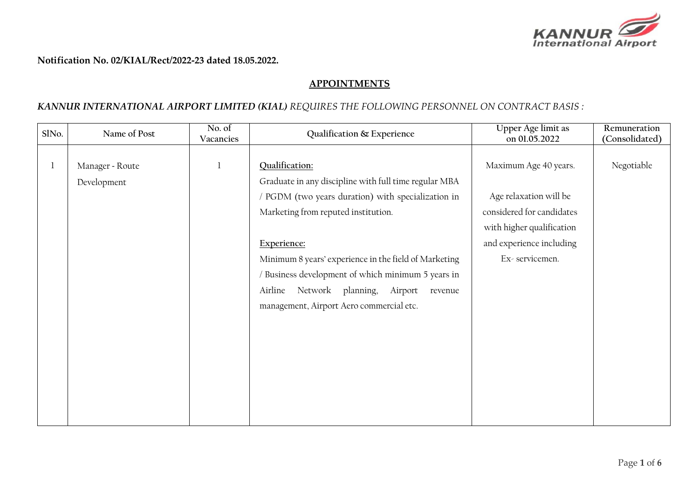

**Notification No. 02/KIAL/Rect/2022-23 dated 18.05.2022.**

## **APPOINTMENTS**

## *KANNUR INTERNATIONAL AIRPORT LIMITED (KIAL) REQUIRES THE FOLLOWING PERSONNEL ON CONTRACT BASIS :*

| SlNo. | Name of Post                   | No. of<br>Vacancies | Qualification & Experience                                                                                                                                                                                                                                                                                                                                                                           | Upper Age limit as<br>on 01.05.2022                                                                                                                     | Remuneration<br>(Consolidated) |
|-------|--------------------------------|---------------------|------------------------------------------------------------------------------------------------------------------------------------------------------------------------------------------------------------------------------------------------------------------------------------------------------------------------------------------------------------------------------------------------------|---------------------------------------------------------------------------------------------------------------------------------------------------------|--------------------------------|
|       | Manager - Route<br>Development |                     | Qualification:<br>Graduate in any discipline with full time regular MBA<br>/ PGDM (two years duration) with specialization in<br>Marketing from reputed institution.<br>Experience:<br>Minimum 8 years' experience in the field of Marketing<br>/ Business development of which minimum 5 years in<br>Network planning,<br>Airline<br>Airport<br>revenue<br>management, Airport Aero commercial etc. | Maximum Age 40 years.<br>Age relaxation will be<br>considered for candidates<br>with higher qualification<br>and experience including<br>Ex-servicemen. | Negotiable                     |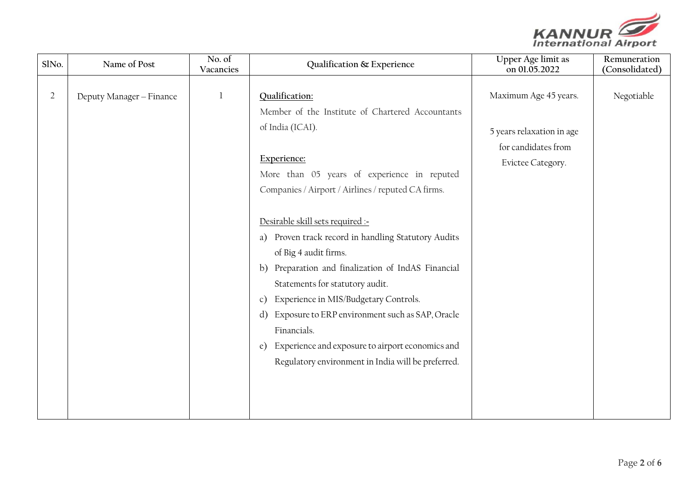

| SlNo.          | Name of Post             | No. of<br>Vacancies | Qualification & Experience                                                                                                                                                                                                                                                                                                                                                                                                                                                                                                                                                                                                                                               | Upper Age limit as<br>on 01.05.2022                                                            | Remuneration<br>(Consolidated) |
|----------------|--------------------------|---------------------|--------------------------------------------------------------------------------------------------------------------------------------------------------------------------------------------------------------------------------------------------------------------------------------------------------------------------------------------------------------------------------------------------------------------------------------------------------------------------------------------------------------------------------------------------------------------------------------------------------------------------------------------------------------------------|------------------------------------------------------------------------------------------------|--------------------------------|
| $\overline{2}$ | Deputy Manager - Finance | $\mathbf{1}$        | Qualification:<br>Member of the Institute of Chartered Accountants<br>of India (ICAI).<br>Experience:<br>More than 05 years of experience in reputed<br>Companies / Airport / Airlines / reputed CA firms.<br>Desirable skill sets required :-<br>a) Proven track record in handling Statutory Audits<br>of Big 4 audit firms.<br>b) Preparation and finalization of IndAS Financial<br>Statements for statutory audit.<br>Experience in MIS/Budgetary Controls.<br>c)<br>Exposure to ERP environment such as SAP, Oracle<br>d)<br>Financials.<br>Experience and exposure to airport economics and<br>$\epsilon$ )<br>Regulatory environment in India will be preferred. | Maximum Age 45 years.<br>5 years relaxation in age<br>for candidates from<br>Evictee Category. | Negotiable                     |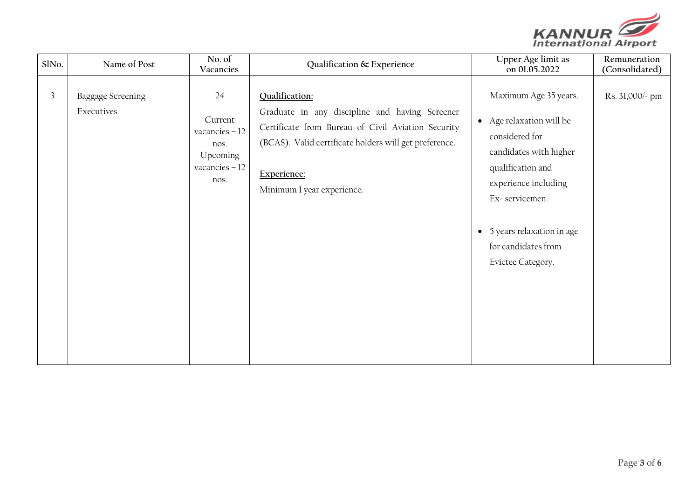

| SlNo.          | Name of Post                           | No. of<br>Vacancies                                                             | Qualification & Experience                                                                                                                                                                                                    | Upper Age limit as<br>on 01.05.2022                                                                                                                                                                                                     | Remuneration<br>(Consolidated) |
|----------------|----------------------------------------|---------------------------------------------------------------------------------|-------------------------------------------------------------------------------------------------------------------------------------------------------------------------------------------------------------------------------|-----------------------------------------------------------------------------------------------------------------------------------------------------------------------------------------------------------------------------------------|--------------------------------|
| $\overline{3}$ | <b>Baggage Screening</b><br>Executives | 24<br>Current<br>vacancies $-12$<br>nos.<br>Upcoming<br>vacancies $-12$<br>nos. | Qualification:<br>Graduate in any discipline and having Screener<br>Certificate from Bureau of Civil Aviation Security<br>(BCAS). Valid certificate holders will get preference.<br>Experience:<br>Minimum 1 year experience. | Maximum Age 35 years.<br>• Age relaxation will be<br>considered for<br>candidates with higher<br>qualification and<br>experience including<br>Ex-servicemen.<br>• 5 years relaxation in age<br>for candidates from<br>Evictee Category. | Rs. 31,000/- pm                |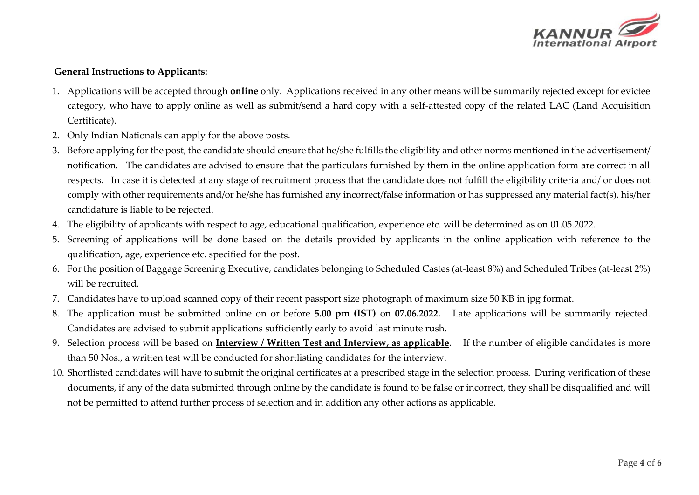

## **General Instructions to Applicants:**

- 1. Applications will be accepted through **online** only. Applications received in any other means will be summarily rejected except for evictee category, who have to apply online as well as submit/send a hard copy with a self-attested copy of the related LAC (Land Acquisition Certificate).
- 2. Only Indian Nationals can apply for the above posts.
- 3. Before applying for the post, the candidate should ensure that he/she fulfills the eligibility and other norms mentioned in the advertisement/ notification. The candidates are advised to ensure that the particulars furnished by them in the online application form are correct in all respects. In case it is detected at any stage of recruitment process that the candidate does not fulfill the eligibility criteria and/ or does not comply with other requirements and/or he/she has furnished any incorrect/false information or has suppressed any material fact(s), his/her candidature is liable to be rejected.
- 4. The eligibility of applicants with respect to age, educational qualification, experience etc. will be determined as on 01.05.2022.
- 5. Screening of applications will be done based on the details provided by applicants in the online application with reference to the qualification, age, experience etc. specified for the post.
- 6. For the position of Baggage Screening Executive, candidates belonging to Scheduled Castes (at-least 8%) and Scheduled Tribes (at-least 2%) will be recruited.
- 7. Candidates have to upload scanned copy of their recent passport size photograph of maximum size 50 KB in jpg format.
- 8. The application must be submitted online on or before **5.00 pm (IST)** on **07.06.2022.** Late applications will be summarily rejected. Candidates are advised to submit applications sufficiently early to avoid last minute rush.
- 9. Selection process will be based on **Interview / Written Test and Interview, as applicable**. If the number of eligible candidates is more than 50 Nos., a written test will be conducted for shortlisting candidates for the interview.
- 10. Shortlisted candidates will have to submit the original certificates at a prescribed stage in the selection process. During verification of these documents, if any of the data submitted through online by the candidate is found to be false or incorrect, they shall be disqualified and will not be permitted to attend further process of selection and in addition any other actions as applicable.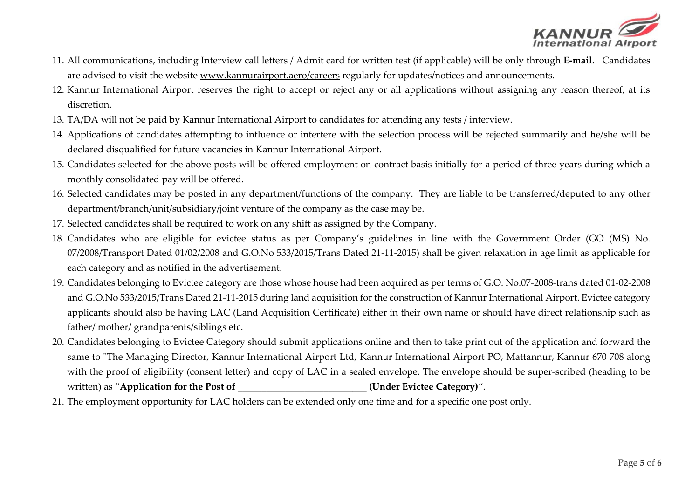

- 11. All communications, including Interview call letters / Admit card for written test (if applicable) will be only through **E-mail**. Candidates are advised to visit the website [www.kannurairport.aero/](http://www.kannurairport.aero/)careers regularly for updates/notices and announcements.
- 12. Kannur International Airport reserves the right to accept or reject any or all applications without assigning any reason thereof, at its discretion.
- 13. TA/DA will not be paid by Kannur International Airport to candidates for attending any tests / interview.
- 14. Applications of candidates attempting to influence or interfere with the selection process will be rejected summarily and he/she will be declared disqualified for future vacancies in Kannur International Airport.
- 15. Candidates selected for the above posts will be offered employment on contract basis initially for a period of three years during which a monthly consolidated pay will be offered.
- 16. Selected candidates may be posted in any department/functions of the company. They are liable to be transferred/deputed to any other department/branch/unit/subsidiary/joint venture of the company as the case may be.
- 17. Selected candidates shall be required to work on any shift as assigned by the Company.
- 18. Candidates who are eligible for evictee status as per Company's guidelines in line with the Government Order (GO (MS) No. 07/2008/Transport Dated 01/02/2008 and G.O.No 533/2015/Trans Dated 21-11-2015) shall be given relaxation in age limit as applicable for each category and as notified in the advertisement.
- 19. Candidates belonging to Evictee category are those whose house had been acquired as per terms of G.O. No.07-2008-trans dated 01-02-2008 and G.O.No 533/2015/Trans Dated 21-11-2015 during land acquisition for the construction of Kannur International Airport. Evictee category applicants should also be having LAC (Land Acquisition Certificate) either in their own name or should have direct relationship such as father/ mother/ grandparents/siblings etc.
- 20. Candidates belonging to Evictee Category should submit applications online and then to take print out of the application and forward the same to "The Managing Director, Kannur International Airport Ltd, Kannur International Airport PO, Mattannur, Kannur 670 708 along with the proof of eligibility (consent letter) and copy of LAC in a sealed envelope. The envelope should be super-scribed (heading to be written) as "Application for the Post of \_\_\_\_\_\_\_\_\_\_\_\_\_\_\_\_\_\_\_\_\_\_\_\_\_\_\_\_(Under Evictee Category)".
- 21. The employment opportunity for LAC holders can be extended only one time and for a specific one post only.